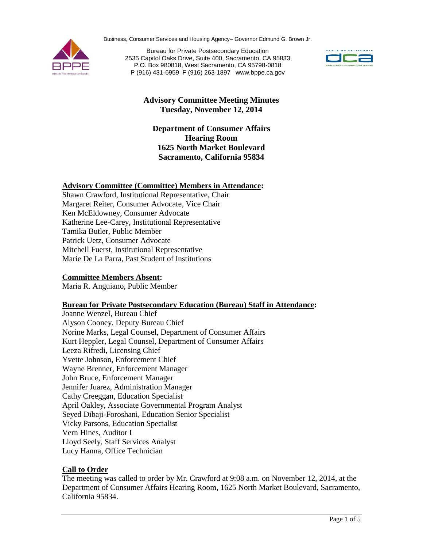Business, Consumer Services and Housing Agency– Governor Edmund G. Brown Jr.



Bureau for Private Postsecondary Education 2535 Capitol Oaks Drive, Suite 400, Sacramento, CA 95833 P.O. Box 980818, West Sacramento, CA 95798-0818 P (916) 431-6959 F (916) 263-1897 www.bppe.ca.gov



# **Advisory Committee Meeting Minutes Tuesday, November 12, 2014**

## **Department of Consumer Affairs Hearing Room 1625 North Market Boulevard Sacramento, California 95834**

### **Advisory Committee (Committee) Members in Attendance:**

Shawn Crawford, Institutional Representative, Chair Margaret Reiter, Consumer Advocate, Vice Chair Ken McEldowney, Consumer Advocate Katherine Lee-Carey, Institutional Representative Tamika Butler, Public Member Patrick Uetz, Consumer Advocate Mitchell Fuerst, Institutional Representative Marie De La Parra, Past Student of Institutions

## **Committee Members Absent:**

Maria R. Anguiano, Public Member

### **Bureau for Private Postsecondary Education (Bureau) Staff in Attendance:**

Joanne Wenzel, Bureau Chief Alyson Cooney, Deputy Bureau Chief Norine Marks, Legal Counsel, Department of Consumer Affairs Kurt Heppler, Legal Counsel, Department of Consumer Affairs Leeza Rifredi, Licensing Chief Yvette Johnson, Enforcement Chief Wayne Brenner, Enforcement Manager John Bruce, Enforcement Manager Jennifer Juarez, Administration Manager Cathy Creeggan, Education Specialist April Oakley, Associate Governmental Program Analyst Seyed Dibaji-Foroshani, Education Senior Specialist Vicky Parsons, Education Specialist Vern Hines, Auditor I Lloyd Seely, Staff Services Analyst Lucy Hanna, Office Technician

### **Call to Order**

The meeting was called to order by Mr. Crawford at 9:08 a.m. on November 12, 2014, at the Department of Consumer Affairs Hearing Room, 1625 North Market Boulevard, Sacramento, California 95834.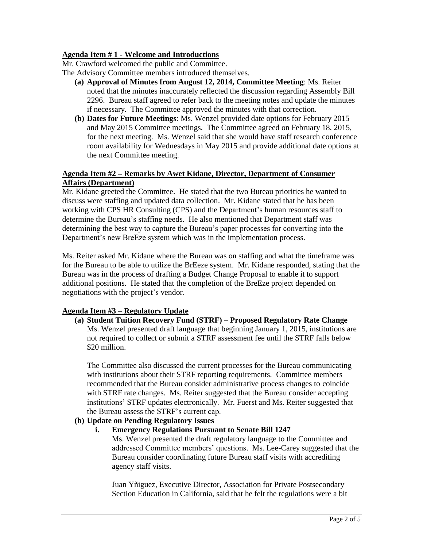### **Agenda Item # 1 - Welcome and Introductions**

Mr. Crawford welcomed the public and Committee.

The Advisory Committee members introduced themselves.

- **(a) Approval of Minutes from August 12, 2014, Committee Meeting**: Ms. Reiter noted that the minutes inaccurately reflected the discussion regarding Assembly Bill 2296. Bureau staff agreed to refer back to the meeting notes and update the minutes if necessary. The Committee approved the minutes with that correction.
- **(b) Dates for Future Meetings**: Ms. Wenzel provided date options for February 2015 and May 2015 Committee meetings. The Committee agreed on February 18, 2015, for the next meeting. Ms. Wenzel said that she would have staff research conference room availability for Wednesdays in May 2015 and provide additional date options at the next Committee meeting.

### **Agenda Item #2 – Remarks by Awet Kidane, Director, Department of Consumer Affairs (Department)**

Mr. Kidane greeted the Committee. He stated that the two Bureau priorities he wanted to discuss were staffing and updated data collection. Mr. Kidane stated that he has been working with CPS HR Consulting (CPS) and the Department's human resources staff to determine the Bureau's staffing needs. He also mentioned that Department staff was determining the best way to capture the Bureau's paper processes for converting into the Department's new BreEze system which was in the implementation process.

Ms. Reiter asked Mr. Kidane where the Bureau was on staffing and what the timeframe was for the Bureau to be able to utilize the BrEeze system. Mr. Kidane responded, stating that the Bureau was in the process of drafting a Budget Change Proposal to enable it to support additional positions. He stated that the completion of the BreEze project depended on negotiations with the project's vendor.

# **Agenda Item #3 – Regulatory Update**

**(a) Student Tuition Recovery Fund (STRF) – Proposed Regulatory Rate Change** Ms. Wenzel presented draft language that beginning January 1, 2015, institutions are not required to collect or submit a STRF assessment fee until the STRF falls below \$20 million.

The Committee also discussed the current processes for the Bureau communicating with institutions about their STRF reporting requirements. Committee members recommended that the Bureau consider administrative process changes to coincide with STRF rate changes. Ms. Reiter suggested that the Bureau consider accepting institutions' STRF updates electronically. Mr. Fuerst and Ms. Reiter suggested that the Bureau assess the STRF's current cap.

### **(b) Update on Pending Regulatory Issues**

### **i. Emergency Regulations Pursuant to Senate Bill 1247**

Ms. Wenzel presented the draft regulatory language to the Committee and addressed Committee members' questions. Ms. Lee-Carey suggested that the Bureau consider coordinating future Bureau staff visits with accrediting agency staff visits.

Juan Yñiguez, Executive Director, Association for Private Postsecondary Section Education in California, said that he felt the regulations were a bit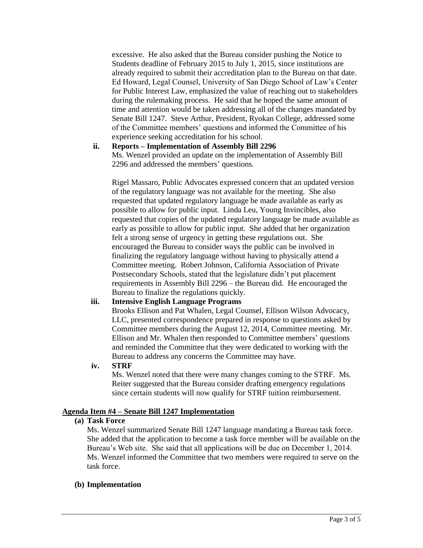excessive. He also asked that the Bureau consider pushing the Notice to Students deadline of February 2015 to July 1, 2015, since institutions are already required to submit their accreditation plan to the Bureau on that date. Ed Howard, Legal Counsel, University of San Diego School of Law's Center for Public Interest Law, emphasized the value of reaching out to stakeholders during the rulemaking process. He said that he hoped the same amount of time and attention would be taken addressing all of the changes mandated by Senate Bill 1247. Steve Arthur, President, Ryokan College, addressed some of the Committee members' questions and informed the Committee of his experience seeking accreditation for his school.

**ii. Reports – Implementation of Assembly Bill 2296** Ms. Wenzel provided an update on the implementation of Assembly Bill 2296 and addressed the members' questions.

Rigel Massaro, Public Advocates expressed concern that an updated version of the regulatory language was not available for the meeting. She also requested that updated regulatory language be made available as early as possible to allow for public input. Linda Leu, Young Invincibles, also requested that copies of the updated regulatory language be made available as early as possible to allow for public input. She added that her organization felt a strong sense of urgency in getting these regulations out. She encouraged the Bureau to consider ways the public can be involved in finalizing the regulatory language without having to physically attend a Committee meeting. Robert Johnson, California Association of Private Postsecondary Schools, stated that the legislature didn't put placement requirements in Assembly Bill 2296 – the Bureau did. He encouraged the Bureau to finalize the regulations quickly.

### **iii. Intensive English Language Programs**

Brooks Ellison and Pat Whalen, Legal Counsel, Ellison Wilson Advocacy, LLC, presented correspondence prepared in response to questions asked by Committee members during the August 12, 2014, Committee meeting. Mr. Ellison and Mr. Whalen then responded to Committee members' questions and reminded the Committee that they were dedicated to working with the Bureau to address any concerns the Committee may have.

# **iv. STRF**

Ms. Wenzel noted that there were many changes coming to the STRF. Ms. Reiter suggested that the Bureau consider drafting emergency regulations since certain students will now qualify for STRF tuition reimbursement.

# **Agenda Item #4 – Senate Bill 1247 Implementation**

### **(a) Task Force**

Ms. Wenzel summarized Senate Bill 1247 language mandating a Bureau task force. She added that the application to become a task force member will be available on the Bureau's Web site. She said that all applications will be due on December 1, 2014. Ms. Wenzel informed the Committee that two members were required to serve on the task force.

# **(b) Implementation**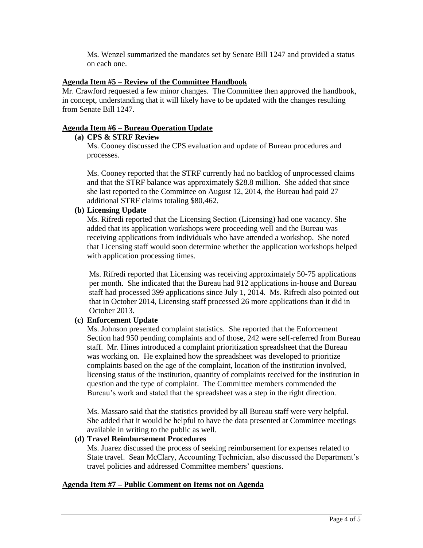Ms. Wenzel summarized the mandates set by Senate Bill 1247 and provided a status on each one.

### **Agenda Item #5 – Review of the Committee Handbook**

Mr. Crawford requested a few minor changes. The Committee then approved the handbook, in concept, understanding that it will likely have to be updated with the changes resulting from Senate Bill 1247.

### **Agenda Item #6 – Bureau Operation Update**

### **(a) CPS & STRF Review**

Ms. Cooney discussed the CPS evaluation and update of Bureau procedures and processes.

Ms. Cooney reported that the STRF currently had no backlog of unprocessed claims and that the STRF balance was approximately \$28.8 million. She added that since she last reported to the Committee on August 12, 2014, the Bureau had paid 27 additional STRF claims totaling \$80,462.

### **(b) Licensing Update**

Ms. Rifredi reported that the Licensing Section (Licensing) had one vacancy. She added that its application workshops were proceeding well and the Bureau was receiving applications from individuals who have attended a workshop. She noted that Licensing staff would soon determine whether the application workshops helped with application processing times.

Ms. Rifredi reported that Licensing was receiving approximately 50-75 applications per month. She indicated that the Bureau had 912 applications in-house and Bureau staff had processed 399 applications since July 1, 2014. Ms. Rifredi also pointed out that in October 2014, Licensing staff processed 26 more applications than it did in October 2013.

### **(c) Enforcement Update**

Ms. Johnson presented complaint statistics. She reported that the Enforcement Section had 950 pending complaints and of those, 242 were self-referred from Bureau staff. Mr. Hines introduced a complaint prioritization spreadsheet that the Bureau was working on. He explained how the spreadsheet was developed to prioritize complaints based on the age of the complaint, location of the institution involved, licensing status of the institution, quantity of complaints received for the institution in question and the type of complaint. The Committee members commended the Bureau's work and stated that the spreadsheet was a step in the right direction.

Ms. Massaro said that the statistics provided by all Bureau staff were very helpful. She added that it would be helpful to have the data presented at Committee meetings available in writing to the public as well.

### **(d) Travel Reimbursement Procedures**

Ms. Juarez discussed the process of seeking reimbursement for expenses related to State travel. Sean McClary, Accounting Technician, also discussed the Department's travel policies and addressed Committee members' questions.

### **Agenda Item #7 – Public Comment on Items not on Agenda**